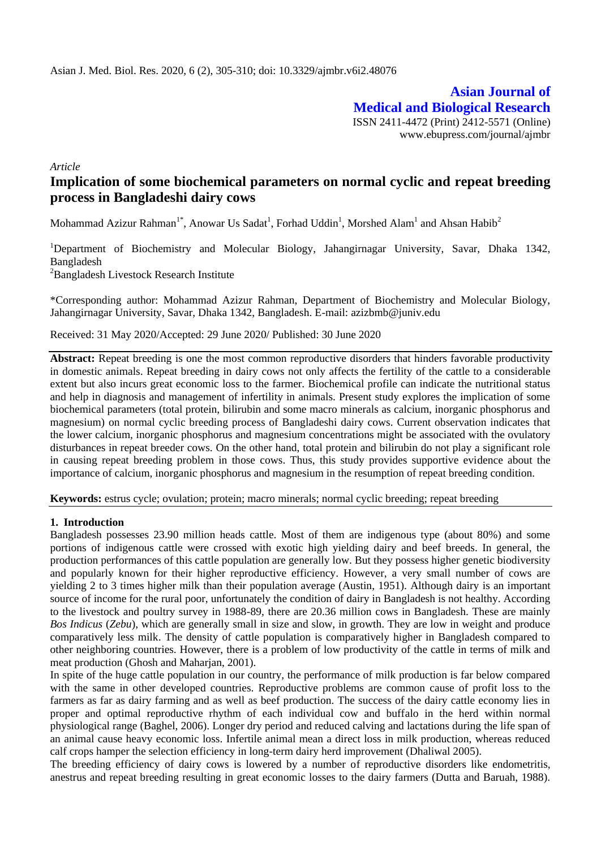**Asian Journal of Medical and Biological Research** ISSN 2411-4472 (Print) 2412-5571 (Online) www.ebupress.com/journal/ajmbr

*Article*

# **Implication of some biochemical parameters on normal cyclic and repeat breeding process in Bangladeshi dairy cows**

Mohammad Azizur Rahman<sup>1\*</sup>, Anowar Us Sadat<sup>1</sup>, Forhad Uddin<sup>1</sup>, Morshed Alam<sup>1</sup> and Ahsan Habib<sup>2</sup>

<sup>1</sup>Department of Biochemistry and Molecular Biology, Jahangirnagar University, Savar, Dhaka 1342, Bangladesh

<sup>2</sup>Bangladesh Livestock Research Institute

\*Corresponding author: Mohammad Azizur Rahman, Department of Biochemistry and Molecular Biology, Jahangirnagar University, Savar, Dhaka 1342, Bangladesh. E-mail: azizbmb@juniv.edu

Received: 31 May 2020/Accepted: 29 June 2020/ Published: 30 June 2020

**Abstract:** Repeat breeding is one the most common reproductive disorders that hinders favorable productivity in domestic animals. Repeat breeding in dairy cows not only affects the fertility of the cattle to a considerable extent but also incurs great economic loss to the farmer. Biochemical profile can indicate the nutritional status and help in diagnosis and management of infertility in animals. Present study explores the implication of some biochemical parameters (total protein, bilirubin and some macro minerals as calcium, inorganic phosphorus and magnesium) on normal cyclic breeding process of Bangladeshi dairy cows. Current observation indicates that the lower calcium, inorganic phosphorus and magnesium concentrations might be associated with the ovulatory disturbances in repeat breeder cows. On the other hand, total protein and bilirubin do not play a significant role in causing repeat breeding problem in those cows. Thus, this study provides supportive evidence about the importance of calcium, inorganic phosphorus and magnesium in the resumption of repeat breeding condition.

**Keywords:** estrus cycle; ovulation; protein; macro minerals; normal cyclic breeding; repeat breeding

### **1. Introduction**

Bangladesh possesses 23.90 million heads cattle. Most of them are indigenous type (about 80%) and some portions of indigenous cattle were crossed with exotic high yielding dairy and beef breeds. In general, the production performances of this cattle population are generally low. But they possess higher genetic biodiversity and popularly known for their higher reproductive efficiency. However, a very small number of cows are yielding 2 to 3 times higher milk than their population average (Austin, 1951). Although dairy is an important source of income for the rural poor, unfortunately the condition of dairy in Bangladesh is not healthy. According to the livestock and poultry survey in 1988-89, there are 20.36 million cows in Bangladesh. These are mainly *Bos Indicus* (*Zebu*), which are generally small in size and slow, in growth. They are low in weight and produce comparatively less milk. The density of cattle population is comparatively higher in Bangladesh compared to other neighboring countries. However, there is a problem of low productivity of the cattle in terms of milk and meat production (Ghosh and Maharjan, 2001).

In spite of the huge cattle population in our country, the performance of milk production is far below compared with the same in other developed countries. Reproductive problems are common cause of profit loss to the farmers as far as dairy farming and as well as beef production. The success of the dairy cattle economy lies in proper and optimal reproductive rhythm of each individual cow and buffalo in the herd within normal physiological range (Baghel, 2006). Longer dry period and reduced calving and lactations during the life span of an animal cause heavy economic loss. Infertile animal mean a direct loss in milk production, whereas reduced calf crops hamper the selection efficiency in long-term dairy herd improvement (Dhaliwal 2005).

The breeding efficiency of dairy cows is lowered by a number of reproductive disorders like endometritis, anestrus and repeat breeding resulting in great economic losses to the dairy farmers (Dutta and Baruah, 1988).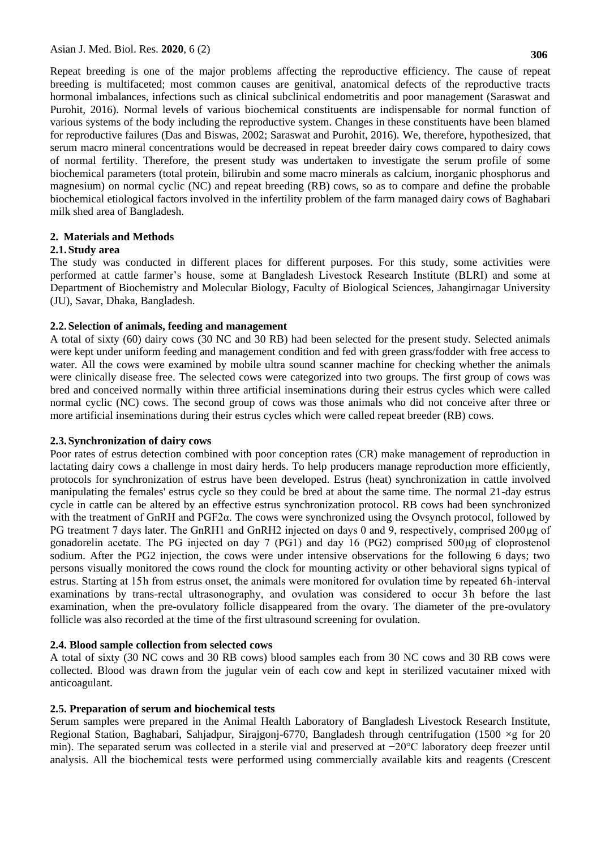Repeat breeding is one of the major problems affecting the reproductive efficiency. The cause of repeat breeding is multifaceted; most common causes are genitival, anatomical defects of the reproductive tracts hormonal imbalances, infections such as clinical subclinical endometritis and poor management (Saraswat and Purohit, 2016). Normal levels of various biochemical constituents are indispensable for normal function of various systems of the body including the reproductive system. Changes in these constituents have been blamed for reproductive failures (Das and Biswas, 2002; Saraswat and Purohit, 2016). We, therefore, hypothesized, that serum macro mineral concentrations would be decreased in repeat breeder dairy cows compared to dairy cows of normal fertility. Therefore, the present study was undertaken to investigate the serum profile of some biochemical parameters (total protein, bilirubin and some macro minerals as calcium, inorganic phosphorus and magnesium) on normal cyclic (NC) and repeat breeding (RB) cows, so as to compare and define the probable biochemical etiological factors involved in the infertility problem of the farm managed dairy cows of Baghabari milk shed area of Bangladesh.

### **2. Materials and Methods**

### **2.1.Study area**

The study was conducted in different places for different purposes. For this study, some activities were performed at cattle farmer's house, some at Bangladesh Livestock Research Institute (BLRI) and some at Department of Biochemistry and Molecular Biology, Faculty of Biological Sciences, Jahangirnagar University (JU), Savar, Dhaka, Bangladesh.

### **2.2.Selection of animals, feeding and management**

A total of sixty (60) dairy cows (30 NC and 30 RB) had been selected for the present study. Selected animals were kept under uniform feeding and management condition and fed with green grass/fodder with free access to water. All the cows were examined by mobile ultra sound scanner machine for checking whether the animals were clinically disease free. The selected cows were categorized into two groups. The first group of cows was bred and conceived normally within three artificial inseminations during their estrus cycles which were called normal cyclic (NC) cows. The second group of cows was those animals who did not conceive after three or more artificial inseminations during their estrus cycles which were called repeat breeder (RB) cows.

### **2.3.Synchronization of dairy cows**

Poor rates of estrus detection combined with poor conception rates (CR) make management of reproduction in lactating dairy cows a challenge in most dairy herds. To help producers manage reproduction more efficiently, protocols for synchronization of estrus have been developed. Estrus (heat) synchronization in cattle involved manipulating the females' estrus cycle so they could be bred at about the same time. The normal 21-day estrus cycle in cattle can be altered by an effective estrus synchronization protocol. RB cows had been synchronized with the treatment of GnRH and PGF2α. The cows were synchronized using the Ovsynch protocol, followed by PG treatment 7 days later. The GnRH1 and GnRH2 injected on days 0 and 9, respectively, comprised 200 μg of gonadorelin acetate. The PG injected on day 7 (PG1) and day 16 (PG2) comprised 500 μg of cloprostenol sodium. After the PG2 injection, the cows were under intensive observations for the following 6 days; two persons visually monitored the cows round the clock for mounting activity or other behavioral signs typical of estrus. Starting at 15 h from estrus onset, the animals were monitored for ovulation time by repeated 6 h-interval examinations by trans-rectal ultrasonography, and ovulation was considered to occur 3 h before the last examination, when the pre-ovulatory follicle disappeared from the ovary. The diameter of the pre-ovulatory follicle was also recorded at the time of the first ultrasound screening for ovulation.

### **2.4. Blood sample collection from selected cows**

A total of sixty (30 NC cows and 30 RB cows) blood samples each from 30 NC cows and 30 RB cows were collected. Blood was drawn from the jugular vein of each cow and kept in sterilized vacutainer mixed with anticoagulant.

### **2.5. Preparation of serum and biochemical tests**

Serum samples were prepared in the Animal Health Laboratory of Bangladesh Livestock Research Institute, Regional Station, Baghabari, Sahjadpur, Sirajgonj-6770, Bangladesh through centrifugation (1500  $\times$ g for 20 min). The separated serum was collected in a sterile vial and preserved at −20°C laboratory deep freezer until analysis. All the biochemical tests were performed using commercially available kits and reagents (Crescent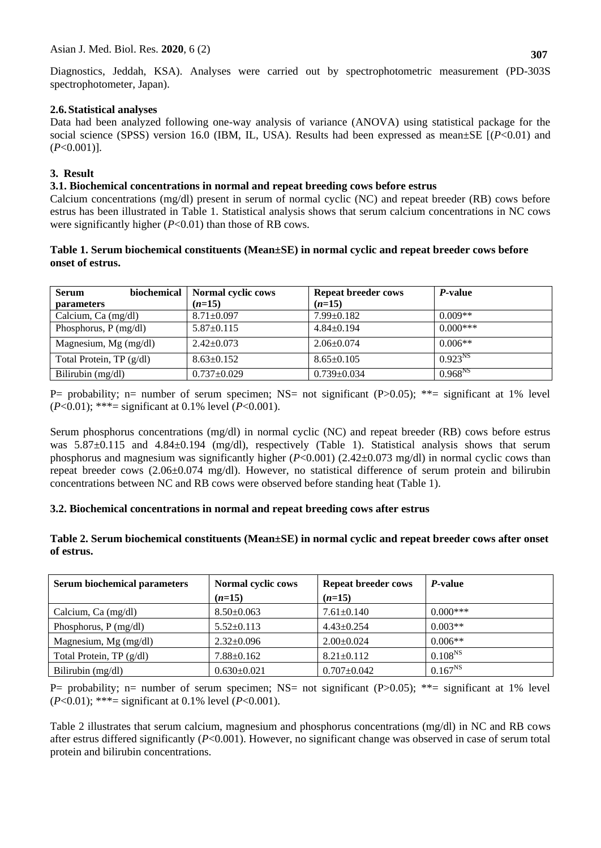Diagnostics, Jeddah, KSA). Analyses were carried out by spectrophotometric measurement (PD-303S spectrophotometer, Japan).

# **2.6.Statistical analyses**

Data had been analyzed following one-way analysis of variance (ANOVA) using statistical package for the social science (SPSS) version 16.0 (IBM, IL, USA). Results had been expressed as mean $\pm$ SE  $[(P<0.01)$  and (*P*<0.001)].

# **3. Result**

### **3.1. Biochemical concentrations in normal and repeat breeding cows before estrus**

Calcium concentrations (mg/dl) present in serum of normal cyclic (NC) and repeat breeder (RB) cows before estrus has been illustrated in Table 1. Statistical analysis shows that serum calcium concentrations in NC cows were significantly higher (*P*<0.01) than those of RB cows.

### **Table 1. Serum biochemical constituents (Mean±SE) in normal cyclic and repeat breeder cows before onset of estrus.**

| <b>Serum</b><br>biochemical | Normal cyclic cows | <b>Repeat breeder cows</b> | <i>P</i> -value |  |
|-----------------------------|--------------------|----------------------------|-----------------|--|
| <i>parameters</i>           | $(n=15)$           | $(n=15)$                   |                 |  |
| Calcium, Ca (mg/dl)         | $8.71 \pm 0.097$   | $7.99 \pm 0.182$           | $0.009**$       |  |
| Phosphorus, P (mg/dl)       | $5.87 \pm 0.115$   | $4.84 \pm 0.194$           | $0.000***$      |  |
| Magnesium, Mg $(mg/dl)$     | $2.42 \pm 0.073$   | $2.06 \pm 0.074$           | $0.006**$       |  |
| Total Protein, TP (g/dl)    | $8.63 \pm 0.152$   | $8.65 \pm 0.105$           | $0.923^{NS}$    |  |
| Bilirubin $(mg/dl)$         | $0.737 \pm 0.029$  | $0.739 \pm 0.034$          | $0.968^{NS}$    |  |

P= probability; n= number of serum specimen; NS= not significant (P>0.05); \*\*= significant at 1% level (*P*<0.01); \*\*\*= significant at 0.1% level (*P*<0.001).

Serum phosphorus concentrations (mg/dl) in normal cyclic (NC) and repeat breeder (RB) cows before estrus was 5.87 $\pm$ 0.115 and 4.84 $\pm$ 0.194 (mg/dl), respectively (Table 1). Statistical analysis shows that serum phosphorus and magnesium was significantly higher (*P*<0.001) (2.42±0.073 mg/dl) in normal cyclic cows than repeat breeder cows (2.06±0.074 mg/dl). However, no statistical difference of serum protein and bilirubin concentrations between NC and RB cows were observed before standing heat (Table 1).

### **3.2. Biochemical concentrations in normal and repeat breeding cows after estrus**

| Table 2. Serum biochemical constituents (Mean±SE) in normal cyclic and repeat breeder cows after onset |  |  |
|--------------------------------------------------------------------------------------------------------|--|--|
| of estrus.                                                                                             |  |  |

| <b>Serum biochemical parameters</b> | Normal cyclic cows | <b>Repeat breeder cows</b> | <i>P</i> -value |  |
|-------------------------------------|--------------------|----------------------------|-----------------|--|
|                                     | $(n=15)$           | $(n=15)$                   |                 |  |
| Calcium, Ca (mg/dl)                 | $8.50\pm0.063$     | $7.61 \pm 0.140$           | $0.000***$      |  |
| Phosphorus, P (mg/dl)               | $5.52 \pm 0.113$   | $4.43 \pm 0.254$           | $0.003**$       |  |
| Magnesium, Mg $(mg/dl)$             | $2.32 \pm 0.096$   | $2.00 \pm 0.024$           | $0.006**$       |  |
| Total Protein, TP (g/dl)            | $7.88 \pm 0.162$   | $8.21 \pm 0.112$           | $0.108^{NS}$    |  |
| Bilirubin $(mg/dl)$                 | $0.630 \pm 0.021$  | $0.707 \pm 0.042$          | $0.167^{NS}$    |  |

P= probability; n= number of serum specimen; NS= not significant (P>0.05); \*\*= significant at 1% level (*P*<0.01); \*\*\*= significant at 0.1% level (*P*<0.001).

Table 2 illustrates that serum calcium, magnesium and phosphorus concentrations (mg/dl) in NC and RB cows after estrus differed significantly (*P*<0.001). However, no significant change was observed in case of serum total protein and bilirubin concentrations.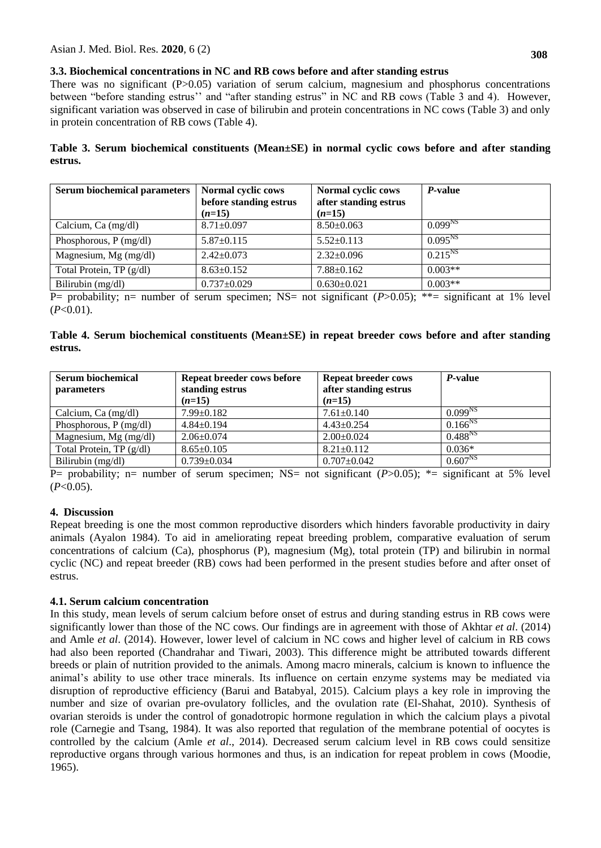### **3.3. Biochemical concentrations in NC and RB cows before and after standing estrus**

There was no significant  $(P>0.05)$  variation of serum calcium, magnesium and phosphorus concentrations between "before standing estrus'' and "after standing estrus" in NC and RB cows (Table 3 and 4). However, significant variation was observed in case of bilirubin and protein concentrations in NC cows (Table 3) and only in protein concentration of RB cows (Table 4).

# **Table 3. Serum biochemical constituents (Mean±SE) in normal cyclic cows before and after standing estrus.**

| <b>Serum biochemical parameters</b> | Normal cyclic cows<br>before standing estrus<br>$(n=15)$ | Normal cyclic cows<br>after standing estrus<br>$(n=15)$ | <i>P</i> -value |
|-------------------------------------|----------------------------------------------------------|---------------------------------------------------------|-----------------|
| Calcium, Ca (mg/dl)                 | $8.71 \pm 0.097$                                         | $8.50 \pm 0.063$                                        | $0.099^{NS}$    |
| Phosphorous, $P(mg/dl)$             | $5.87+0.115$                                             | $5.52+0.113$                                            | $0.095^{NS}$    |
| Magnesium, Mg (mg/dl)               | $2.42 \pm 0.073$                                         | $2.32 \pm 0.096$                                        | $0.215^{NS}$    |
| Total Protein, TP (g/dl)            | $8.63 \pm 0.152$                                         | $7.88 \pm 0.162$                                        | $0.003**$       |
| Bilirubin (mg/dl)                   | $0.737 \pm 0.029$                                        | $0.630\pm0.021$                                         | $0.003**$       |

P= probability; n= number of serum specimen; NS= not significant (*P*>0.05); \*\*= significant at 1% level  $(P<0.01)$ .

|         | Table 4. Serum biochemical constituents (Mean±SE) in repeat breeder cows before and after standing |  |  |  |  |  |  |
|---------|----------------------------------------------------------------------------------------------------|--|--|--|--|--|--|
| estrus. |                                                                                                    |  |  |  |  |  |  |

| <b>Serum biochemical</b><br><i>parameters</i> | Repeat breeder cows before<br>standing estrus<br>$(n=15)$ | <b>Repeat breeder cows</b><br>after standing estrus<br>$(n=15)$ | <i>P</i> -value |
|-----------------------------------------------|-----------------------------------------------------------|-----------------------------------------------------------------|-----------------|
| Calcium, Ca (mg/dl)                           | $7.99 \pm 0.182$                                          | $7.61 \pm 0.140$                                                | $0.099^{NS}$    |
| Phosphorous, $P(mg/dl)$                       | $4.84 \pm 0.194$                                          | $4.43 \pm 0.254$                                                | $0.166^{NS}$    |
| Magnesium, Mg (mg/dl)                         | $2.06 \pm 0.074$                                          | $2.00 \pm 0.024$                                                | $0.488^{NS}$    |
| Total Protein, TP (g/dl)                      | $8.65 \pm 0.105$                                          | $8.21 \pm 0.112$                                                | $0.036*$        |
| Bilirubin $(mg/dl)$                           | $0.739 \pm 0.034$                                         | $0.707 \pm 0.042$                                               | $0.607^{NS}$    |

 $\overline{P}$ = probability; n= number of serum specimen; NS= not significant (*P*>0.05); \*= significant at 5% level  $(P<0.05)$ .

# **4. Discussion**

Repeat breeding is one the most common reproductive disorders which hinders favorable productivity in dairy animals [\(Ayalon 1984\)](file:///H:/S.%20M.%20Lutful%20Kabir/AJMBR%202020/Volume%206%20Issue%202_June%202020_Papers_Revised/Volume%206%20Issue%202_June%202020_Papers_Revised/2020-AJMBR-42_Revised.docx%23_ENREF_4). To aid in ameliorating repeat breeding problem, comparative evaluation of serum concentrations of calcium (Ca), phosphorus (P), magnesium (Mg), total protein (TP) and bilirubin in normal cyclic (NC) and repeat breeder (RB) cows had been performed in the present studies before and after onset of estrus.

# **4.1. Serum calcium concentration**

In this study, mean levels of serum calcium before onset of estrus and during standing estrus in RB cows were significantly lower than those of the NC cows. Our findings are in agreement with those of Akhtar *et al*. (2014) and Amle *et al*. (2014). However, lower level of calcium in NC cows and higher level of calcium in RB cows had also been reported (Chandrahar and Tiwari, 2003). This difference might be attributed towards different breeds or plain of nutrition provided to the animals. Among macro minerals, calcium is known to influence the animal's ability to use other trace minerals. Its influence on certain enzyme systems may be mediated via disruption of reproductive efficiency (Barui and Batabyal, 2015). Calcium plays a key role in improving the number and size of ovarian pre-ovulatory follicles, and the ovulation rate (El-Shahat, 2010). Synthesis of ovarian steroids is under the control of gonadotropic hormone regulation in which the calcium plays a pivotal role (Carnegie and Tsang, 1984). It was also reported that regulation of the membrane potential of oocytes is controlled by the calcium (Amle *et al*., 2014). Decreased serum calcium level in RB cows could sensitize reproductive organs through various hormones and thus, is an indication for repeat problem in cows [\(Moodie,](file:///H:/S.%20M.%20Lutful%20Kabir/AJMBR%202020/Volume%206%20Issue%202_June%202020_Papers_Revised/Volume%206%20Issue%202_June%202020_Papers_Revised/2020-AJMBR-42_Revised.docx%23_ENREF_25)  [1965\)](file:///H:/S.%20M.%20Lutful%20Kabir/AJMBR%202020/Volume%206%20Issue%202_June%202020_Papers_Revised/Volume%206%20Issue%202_June%202020_Papers_Revised/2020-AJMBR-42_Revised.docx%23_ENREF_25).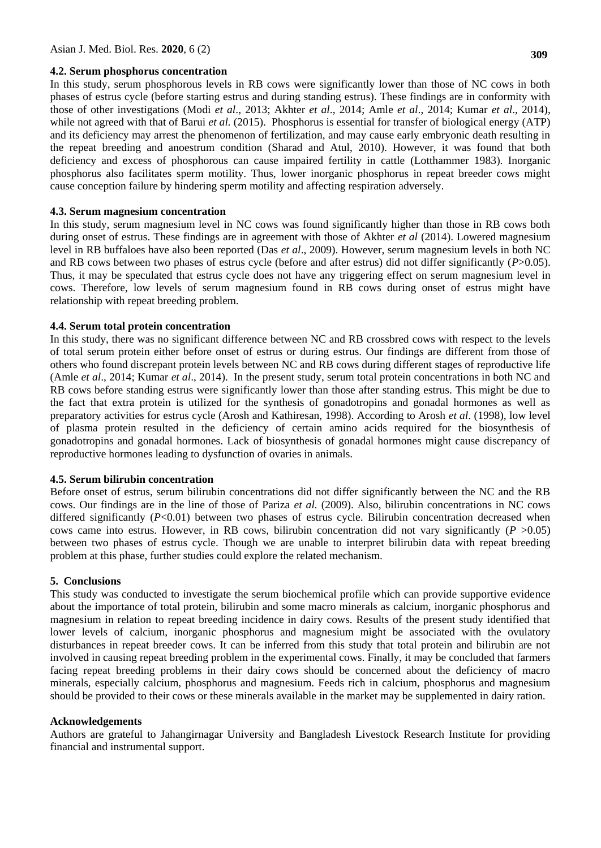#### **4.2. Serum phosphorus concentration**

In this study, serum phosphorous levels in RB cows were significantly lower than those of NC cows in both phases of estrus cycle (before starting estrus and during standing estrus). These findings are in conformity with those of other investigations (Modi *et al*., 2013; Akhter *et al*., 2014; Amle *et al*., 2014; Kumar *et al*., 2014), while not agreed with that of Barui *et al.* (2015). Phosphorus is essential for transfer of biological energy (ATP) and its deficiency may arrest the phenomenon of fertilization, and may cause early embryonic death resulting in the repeat breeding and anoestrum condition [\(Sharad and Atul, 2010\)](file:///H:/S.%20M.%20Lutful%20Kabir/AJMBR%202020/Volume%206%20Issue%202_June%202020_Papers_Revised/Volume%206%20Issue%202_June%202020_Papers_Revised/2020-AJMBR-42_Revised.docx%23_ENREF_32). However, it was found that both deficiency and excess of phosphorous can cause impaired fertility in cattle [\(Lotthammer 1983\)](file:///H:/S.%20M.%20Lutful%20Kabir/AJMBR%202020/Volume%206%20Issue%202_June%202020_Papers_Revised/Volume%206%20Issue%202_June%202020_Papers_Revised/2020-AJMBR-42_Revised.docx%23_ENREF_23). Inorganic phosphorus also facilitates sperm motility. Thus, lower inorganic phosphorus in repeat breeder cows might cause conception failure by hindering sperm motility and affecting respiration adversely.

#### **4.3. Serum magnesium concentration**

In this study, serum magnesium level in NC cows was found significantly higher than those in RB cows both during onset of estrus. These findings are in agreement with those of Akhter *et al* (2014). Lowered magnesium level in RB buffaloes have also been reported (Das *et al*., 2009). However, serum magnesium levels in both NC and RB cows between two phases of estrus cycle (before and after estrus) did not differ significantly (*P*>0.05). Thus, it may be speculated that estrus cycle does not have any triggering effect on serum magnesium level in cows. Therefore, low levels of serum magnesium found in RB cows during onset of estrus might have relationship with repeat breeding problem.

#### **4.4. Serum total protein concentration**

In this study, there was no significant difference between NC and RB crossbred cows with respect to the levels of total serum protein either before onset of estrus or during estrus. Our findings are different from those of others who found discrepant protein levels between NC and RB cows during different stages of reproductive life (Amle *et al*., 2014; Kumar *et al*., 2014). In the present study, serum total protein concentrations in both NC and RB cows before standing estrus were significantly lower than those after standing estrus. This might be due to the fact that extra protein is utilized for the synthesis of gonadotropins and gonadal hormones as well as preparatory activities for estrus cycle (Arosh and Kathiresan, 1998). According to Arosh *et al*. (1998), low level of plasma protein resulted in the deficiency of certain amino acids required for the biosynthesis of gonadotropins and gonadal hormones. Lack of biosynthesis of gonadal hormones might cause discrepancy of reproductive hormones leading to dysfunction of ovaries in animals.

#### **4.5. Serum bilirubin concentration**

Before onset of estrus, serum bilirubin concentrations did not differ significantly between the NC and the RB cows. Our findings are in the line of those of Pariza *et al.* (2009). Also, bilirubin concentrations in NC cows differed significantly (*P*<0.01) between two phases of estrus cycle. Bilirubin concentration decreased when cows came into estrus. However, in RB cows, bilirubin concentration did not vary significantly ( $P > 0.05$ ) between two phases of estrus cycle. Though we are unable to interpret bilirubin data with repeat breeding problem at this phase, further studies could explore the related mechanism.

#### **5. Conclusions**

This study was conducted to investigate the serum biochemical profile which can provide supportive evidence about the importance of total protein, bilirubin and some macro minerals as calcium, inorganic phosphorus and magnesium in relation to repeat breeding incidence in dairy cows. Results of the present study identified that lower levels of calcium, inorganic phosphorus and magnesium might be associated with the ovulatory disturbances in repeat breeder cows. It can be inferred from this study that total protein and bilirubin are not involved in causing repeat breeding problem in the experimental cows. Finally, it may be concluded that farmers facing repeat breeding problems in their dairy cows should be concerned about the deficiency of macro minerals, especially calcium, phosphorus and magnesium. Feeds rich in calcium, phosphorus and magnesium should be provided to their cows or these minerals available in the market may be supplemented in dairy ration.

#### **Acknowledgements**

Authors are grateful to Jahangirnagar University and Bangladesh Livestock Research Institute for providing financial and instrumental support.